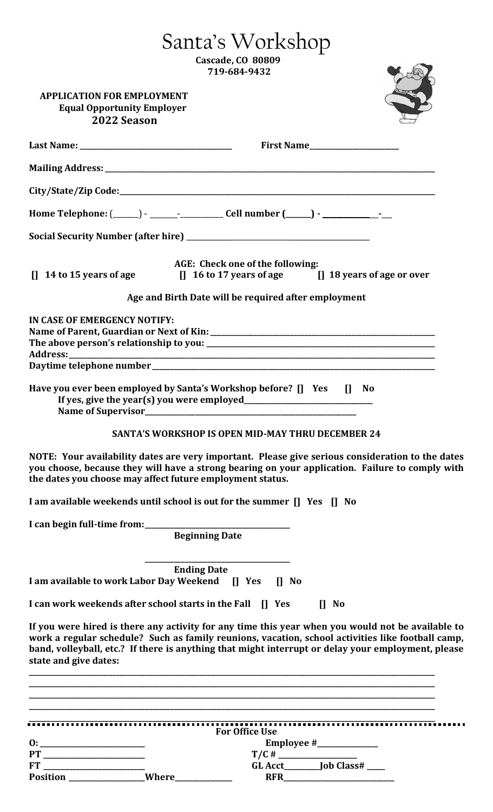|                                                                                       | Santa's Workshop                                                                                                                                                                                                                                                                                             |
|---------------------------------------------------------------------------------------|--------------------------------------------------------------------------------------------------------------------------------------------------------------------------------------------------------------------------------------------------------------------------------------------------------------|
|                                                                                       | <b>Cascade, CO 80809</b><br>719-684-9432                                                                                                                                                                                                                                                                     |
|                                                                                       |                                                                                                                                                                                                                                                                                                              |
| <b>APPLICATION FOR EMPLOYMENT</b><br><b>Equal Opportunity Employer</b><br>2022 Season |                                                                                                                                                                                                                                                                                                              |
|                                                                                       | First Name                                                                                                                                                                                                                                                                                                   |
|                                                                                       |                                                                                                                                                                                                                                                                                                              |
|                                                                                       |                                                                                                                                                                                                                                                                                                              |
|                                                                                       |                                                                                                                                                                                                                                                                                                              |
|                                                                                       |                                                                                                                                                                                                                                                                                                              |
|                                                                                       | AGE: Check one of the following:<br>[] 14 to 15 years of age [] 16 to 17 years of age [] 18 years of age or over                                                                                                                                                                                             |
|                                                                                       | Age and Birth Date will be required after employment                                                                                                                                                                                                                                                         |
| IN CASE OF EMERGENCY NOTIFY:                                                          |                                                                                                                                                                                                                                                                                                              |
|                                                                                       |                                                                                                                                                                                                                                                                                                              |
|                                                                                       |                                                                                                                                                                                                                                                                                                              |
|                                                                                       | Have you ever been employed by Santa's Workshop before? [] Yes<br>$\mathbf{u}$<br><b>No</b>                                                                                                                                                                                                                  |
|                                                                                       | <b>SANTA'S WORKSHOP IS OPEN MID-MAY THRU DECEMBER 24</b>                                                                                                                                                                                                                                                     |
| the dates you choose may affect future employment status.                             | NOTE: Your availability dates are very important. Please give serious consideration to the dates<br>you choose, because they will have a strong bearing on your application. Failure to comply with                                                                                                          |
|                                                                                       | I am available weekends until school is out for the summer [] Yes [] No                                                                                                                                                                                                                                      |
|                                                                                       | <b>Beginning Date</b>                                                                                                                                                                                                                                                                                        |
|                                                                                       |                                                                                                                                                                                                                                                                                                              |
|                                                                                       | <b>Ending Date</b><br>I am available to work Labor Day Weekend [] Yes [] No                                                                                                                                                                                                                                  |
|                                                                                       | I can work weekends after school starts in the Fall [] Yes<br>$\prod$ No                                                                                                                                                                                                                                     |
| state and give dates:                                                                 | If you were hired is there any activity for any time this year when you would not be available to<br>work a regular schedule? Such as family reunions, vacation, school activities like football camp,<br>band, volleyball, etc.? If there is anything that might interrupt or delay your employment, please |
|                                                                                       |                                                                                                                                                                                                                                                                                                              |
|                                                                                       |                                                                                                                                                                                                                                                                                                              |
| 0:                                                                                    | <b>For Office Use</b>                                                                                                                                                                                                                                                                                        |
|                                                                                       |                                                                                                                                                                                                                                                                                                              |

|                 |       | <b>For Office Use</b> |                   |
|-----------------|-------|-----------------------|-------------------|
| 0:              |       | Employee #            |                   |
| PT              |       | T/C#                  |                   |
| <b>FT</b>       |       | <b>GL Acct</b>        | <b>Job Class#</b> |
| <b>Position</b> | Where | <b>RFR</b>            |                   |